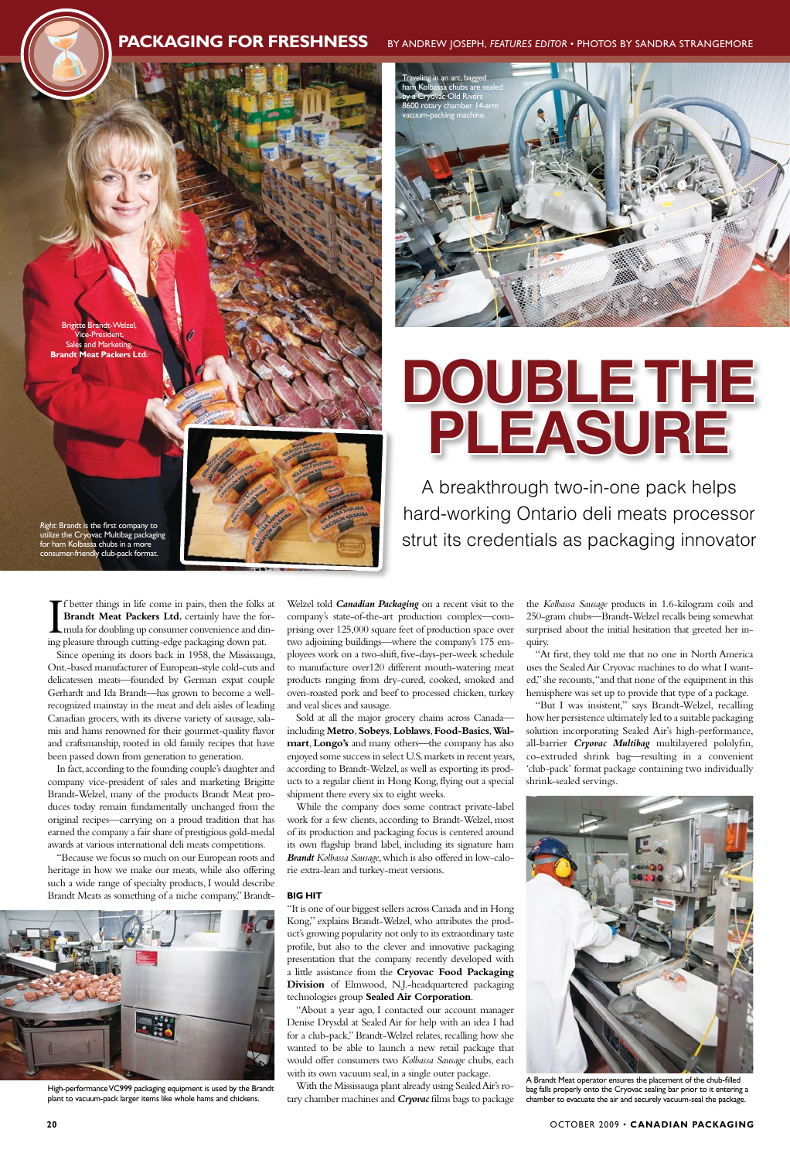$\prod_{\text{inc}}$ f better things in life come in pairs, then the folks at **Brandt Meat Packers Ltd.** certainly have the formula for doubling up consumer convenience and dining pleasure through cutting-edge packaging down pat.

Since opening its doors back in 1958, the Mississauga, Ont.-based manufacturer of European-style cold-cuts and delicatessen meats—founded by German expat couple Gerhardt and Ida Brandt—has grown to become a wellrecognized mainstay in the meat and deli aisles of leading Canadian grocers, with its diverse variety of sausage, salamis and hams renowned for their gourmet-quality flavor and craftsmanship, rooted in old family recipes that have been passed down from generation to generation.

In fact, according to the founding couple's daughter and company vice-president of sales and marketing Brigitte Brandt-Welzel, many of the products Brandt Meat produces today remain fundamentally unchanged from the original recipes—carrying on a proud tradition that has earned the company a fair share of prestigious gold-medal awards at various international deli meats competitions.

"Because we focus so much on our European roots and heritage in how we make our meats, while also offering such a wide range of specialty products, I would describe Brandt Meats as something of a niche company," BrandtWelzel told *Canadian Packaging* on a recent visit to the company's state-of-the-art production complex—comprising over 125,000 square feet of production space over two adjoining buildings—where the company's 175 employees work on a two-shift, five-days-per-week schedule to manufacture over120 different mouth-watering meat products ranging from dry-cured, cooked, smoked and oven-roasted pork and beef to processed chicken, turkey and veal slices and sausage.

Sold at all the major grocery chains across Canada including **Metro**, **Sobeys**, **Loblaws**, **Food-Basics**, **Walmart**, **Longo's** and many others—the company has also enjoyed some success in select U.S. markets in recent years, according to Brandt-Welzel, as well as exporting its products to a regular client in Hong Kong, flying out a special shipment there every six to eight weeks.

While the company does some contract private-label work for a few clients, according to Brandt-Welzel, most of its production and packaging focus is centered around its own flagship brand label, including its signature ham *Brandt Kolbassa Sausage*, which is also offered in low-calorie extra-lean and turkey-meat versions.

*Right:* Brandt is the first company to ize the Cryovac Multibag packaging for ham Kolbassa chubs in a more imer-friendly club-pack format

### **Big Hit**

"It is one of our biggest sellers across Canada and in Hong

Kong," explains Brandt-Welzel, who attributes the product's growing popularity not only to its extraordinary taste profile, but also to the clever and innovative packaging presentation that the company recently developed with a little assistance from the **Cryovac Food Packaging Division** of Elmwood, N.J.-headquartered packaging technologies group **Sealed Air Corporation**.

"About a year ago, I contacted our account manager Denise Drysdal at Sealed Air for help with an idea I had for a club-pack," Brandt-Welzel relates, recalling how she wanted to be able to launch a new retail package that would offer consumers two *Kolbassa Sausage* chubs, each with its own vacuum seal, in a single outer package. With the Mississauga plant already using Sealed Air's rotary chamber machines and *Cryovac* films bags to package

the *Kolbassa Sausage* products in 1.6-kilogram coils and 250-gram chubs—Brandt-Welzel recalls being somewhat surprised about the initial hesitation that greeted her inquiry.

"At first, they told me that no one in North America uses the Sealed Air Cryovac machines to do what I wanted," she recounts, "and that none of the equipment in this hemisphere was set up to provide that type of a package.

"But I was insistent," says Brandt-Welzel, recalling how her persistence ultimately led to a suitable packaging solution incorporating Sealed Air's high-performance, all-barrier *Cryovac Multibag* multilayered pololyfin, co-extruded shrink bag—resulting in a convenient 'club-pack' format package containing two individually shrink-sealed servings.





A breakthrough two-in-one pack helps hard-working Ontario deli meats processor strut its credentials as packaging innovator

## **PACKAGING FOR FRESHNESS** BY ANDREW JOSEPH, FEATURES EDITOR • PHOTOS BY SANDRA STRANGEMORE





High-performance VC999 packaging equipment is used by the Brandt plant to vacuum-pack larger items like whole hams and chickens.

# **Double the pleasure**

A Brandt Meat operator ensures the placement of the chub-filled bag falls properly onto the Cryovac sealing bar prior to it entering a chamber to evacuate the air and securely vacuum-seal the package.